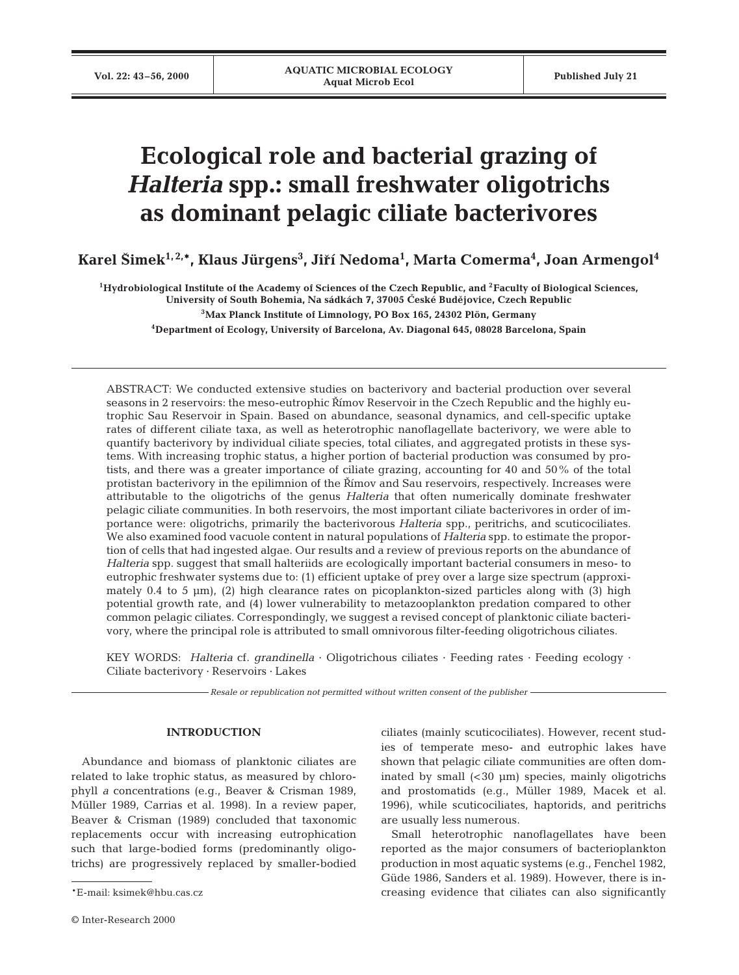# **Ecological role and bacterial grazing of**  *Halteria* **spp.: small freshwater oligotrichs as dominant pelagic ciliate bacterivores**

**Karel Sˇimek1, 2,\*, Klaus Jürgens3 , Jirˇí Nedoma1 , Marta Comerma4 , Joan Armengol4**

**1Hydrobiological Institute of the Academy of Sciences of the Czech Republic, and 2Faculty of Biological Sciences,**  University of South Bohemia, Na sádkách 7, 37005 České Budějovice, Czech Republic

**3Max Planck Institute of Limnology, PO Box 165, 24302 Plön, Germany**

**4Department of Ecology, University of Barcelona, Av. Diagonal 645, 08028 Barcelona, Spain**

ABSTRACT: We conducted extensive studies on bacterivory and bacterial production over several seasons in 2 reservoirs: the meso-eutrophic Římov Reservoir in the Czech Republic and the highly eutrophic Sau Reservoir in Spain. Based on abundance, seasonal dynamics, and cell-specific uptake rates of different ciliate taxa, as well as heterotrophic nanoflagellate bacterivory, we were able to quantify bacterivory by individual ciliate species, total ciliates, and aggregated protists in these systems. With increasing trophic status, a higher portion of bacterial production was consumed by protists, and there was a greater importance of ciliate grazing, accounting for 40 and 50% of the total protistan bacterivory in the epilimnion of the Římov and Sau reservoirs, respectively. Increases were attributable to the oligotrichs of the genus *Halteria* that often numerically dominate freshwater pelagic ciliate communities. In both reservoirs, the most important ciliate bacterivores in order of importance were: oligotrichs, primarily the bacterivorous *Halteria* spp., peritrichs, and scuticociliates. We also examined food vacuole content in natural populations of *Halteria* spp. to estimate the proportion of cells that had ingested algae. Our results and a review of previous reports on the abundance of *Halteria* spp. suggest that small halteriids are ecologically important bacterial consumers in meso- to eutrophic freshwater systems due to: (1) efficient uptake of prey over a large size spectrum (approximately  $0.4$  to 5  $\mu$ m), (2) high clearance rates on picoplankton-sized particles along with (3) high potential growth rate, and (4) lower vulnerability to metazooplankton predation compared to other common pelagic ciliates. Correspondingly, we suggest a revised concept of planktonic ciliate bacterivory, where the principal role is attributed to small omnivorous filter-feeding oligotrichous ciliates.

KEY WORDS: *Halteria* cf. *grandinella* · Oligotrichous ciliates · Feeding rates · Feeding ecology · Ciliate bacterivory · Reservoirs · Lakes

*Resale or republication not permitted without written consent of the publisher*

## **INTRODUCTION**

Abundance and biomass of planktonic ciliates are related to lake trophic status, as measured by chlorophyll *a* concentrations (e.g., Beaver & Crisman 1989, Müller 1989, Carrias et al. 1998). In a review paper, Beaver & Crisman (1989) concluded that taxonomic replacements occur with increasing eutrophication such that large-bodied forms (predominantly oligotrichs) are progressively replaced by smaller-bodied ciliates (mainly scuticociliates). However, recent studies of temperate meso- and eutrophic lakes have shown that pelagic ciliate communities are often dominated by small  $( $30 \mu m$ ) species, mainly oligotrichs$ and prostomatids (e.g., Müller 1989, Macek et al. 1996), while scuticociliates, haptorids, and peritrichs are usually less numerous.

Small heterotrophic nanoflagellates have been reported as the major consumers of bacterioplankton production in most aquatic systems (e.g., Fenchel 1982, Güde 1986, Sanders et al. 1989). However, there is increasing evidence that ciliates can also significantly

<sup>\*</sup>E-mail: ksimek@hbu.cas.cz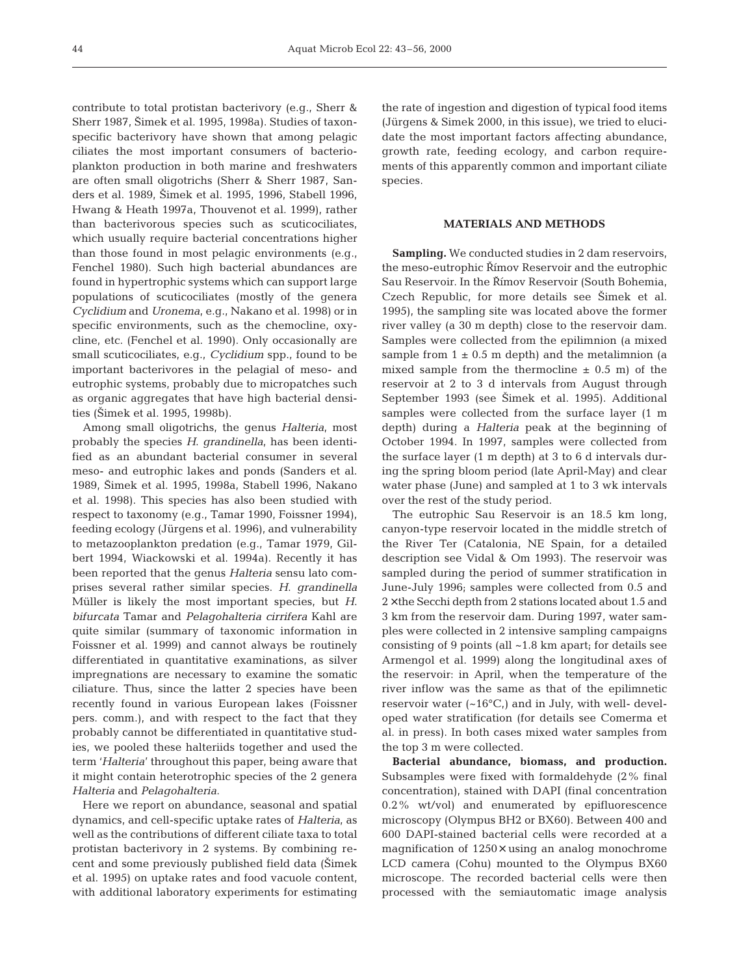contribute to total protistan bacterivory (e.g., Sherr & Sherr 1987, Šimek et al. 1995, 1998a). Studies of taxonspecific bacterivory have shown that among pelagic ciliates the most important consumers of bacterioplankton production in both marine and freshwaters are often small oligotrichs (Sherr & Sherr 1987, Sanders et al. 1989, Šimek et al. 1995, 1996, Stabell 1996, Hwang & Heath 1997a, Thouvenot et al. 1999), rather than bacterivorous species such as scuticociliates, which usually require bacterial concentrations higher than those found in most pelagic environments (e.g., Fenchel 1980). Such high bacterial abundances are found in hypertrophic systems which can support large populations of scuticociliates (mostly of the genera *Cyclidium* and *Uronema*, e.g., Nakano et al. 1998) or in specific environments, such as the chemocline, oxycline, etc. (Fenchel et al. 1990). Only occasionally are small scuticociliates, e.g., *Cyclidium* spp., found to be important bacterivores in the pelagial of meso- and eutrophic systems, probably due to micropatches such as organic aggregates that have high bacterial densities (Šimek et al. 1995, 1998b).

Among small oligotrichs, the genus *Halteria*, most probably the species *H*. *grandinella*, has been identified as an abundant bacterial consumer in several meso- and eutrophic lakes and ponds (Sanders et al. 1989, Šimek et al. 1995, 1998a, Stabell 1996, Nakano et al. 1998). This species has also been studied with respect to taxonomy (e.g., Tamar 1990, Foissner 1994), feeding ecology (Jürgens et al. 1996), and vulnerability to metazooplankton predation (e.g., Tamar 1979, Gilbert 1994, Wiackowski et al. 1994a). Recently it has been reported that the genus *Halteria* sensu lato comprises several rather similar species. *H*. *grandinella* Müller is likely the most important species, but *H*. *bifurcata* Tamar and *Pelagohalteria cirrifera* Kahl are quite similar (summary of taxonomic information in Foissner et al. 1999) and cannot always be routinely differentiated in quantitative examinations, as silver impregnations are necessary to examine the somatic ciliature. Thus, since the latter 2 species have been recently found in various European lakes (Foissner pers. comm.), and with respect to the fact that they probably cannot be differentiated in quantitative studies, we pooled these halteriids together and used the term '*Halteria*' throughout this paper, being aware that it might contain heterotrophic species of the 2 genera *Halteria* and *Pelagohalteria*.

Here we report on abundance, seasonal and spatial dynamics, and cell-specific uptake rates of *Halteria*, as well as the contributions of different ciliate taxa to total protistan bacterivory in 2 systems. By combining recent and some previously published field data (Šimek et al. 1995) on uptake rates and food vacuole content, with additional laboratory experiments for estimating

the rate of ingestion and digestion of typical food items (Jürgens & Simek 2000, in this issue), we tried to elucidate the most important factors affecting abundance, growth rate, feeding ecology, and carbon requirements of this apparently common and important ciliate species.

## **MATERIALS AND METHODS**

**Sampling.** We conducted studies in 2 dam reservoirs, the meso-eutrophic Římov Reservoir and the eutrophic Sau Reservoir. In the Římov Reservoir (South Bohemia, Czech Republic, for more details see Šimek et al. 1995), the sampling site was located above the former river valley (a 30 m depth) close to the reservoir dam. Samples were collected from the epilimnion (a mixed sample from  $1 \pm 0.5$  m depth) and the metalimnion (a mixed sample from the thermocline  $\pm$  0.5 m) of the reservoir at 2 to 3 d intervals from August through September 1993 (see Šimek et al. 1995). Additional samples were collected from the surface layer (1 m depth) during a *Halteria* peak at the beginning of October 1994. In 1997, samples were collected from the surface layer (1 m depth) at 3 to 6 d intervals during the spring bloom period (late April-May) and clear water phase (June) and sampled at 1 to 3 wk intervals over the rest of the study period.

The eutrophic Sau Reservoir is an 18.5 km long, canyon-type reservoir located in the middle stretch of the River Ter (Catalonia, NE Spain, for a detailed description see Vidal & Om 1993). The reservoir was sampled during the period of summer stratification in June-July 1996; samples were collected from 0.5 and  $2 \times$  the Secchi depth from 2 stations located about 1.5 and 3 km from the reservoir dam. During 1997, water samples were collected in 2 intensive sampling campaigns consisting of 9 points (all ~1.8 km apart; for details see Armengol et al. 1999) along the longitudinal axes of the reservoir: in April, when the temperature of the river inflow was the same as that of the epilimnetic reservoir water  $({\sim}16^{\circ}C_{1})$  and in July, with well- developed water stratification (for details see Comerma et al. in press). In both cases mixed water samples from the top 3 m were collected.

**Bacterial abundance, biomass, and production.** Subsamples were fixed with formaldehyde (2% final concentration), stained with DAPI (final concentration 0.2% wt/vol) and enumerated by epifluorescence microscopy (Olympus BH2 or BX60). Between 400 and 600 DAPI-stained bacterial cells were recorded at a magnification of 1250× using an analog monochrome LCD camera (Cohu) mounted to the Olympus BX60 microscope. The recorded bacterial cells were then processed with the semiautomatic image analysis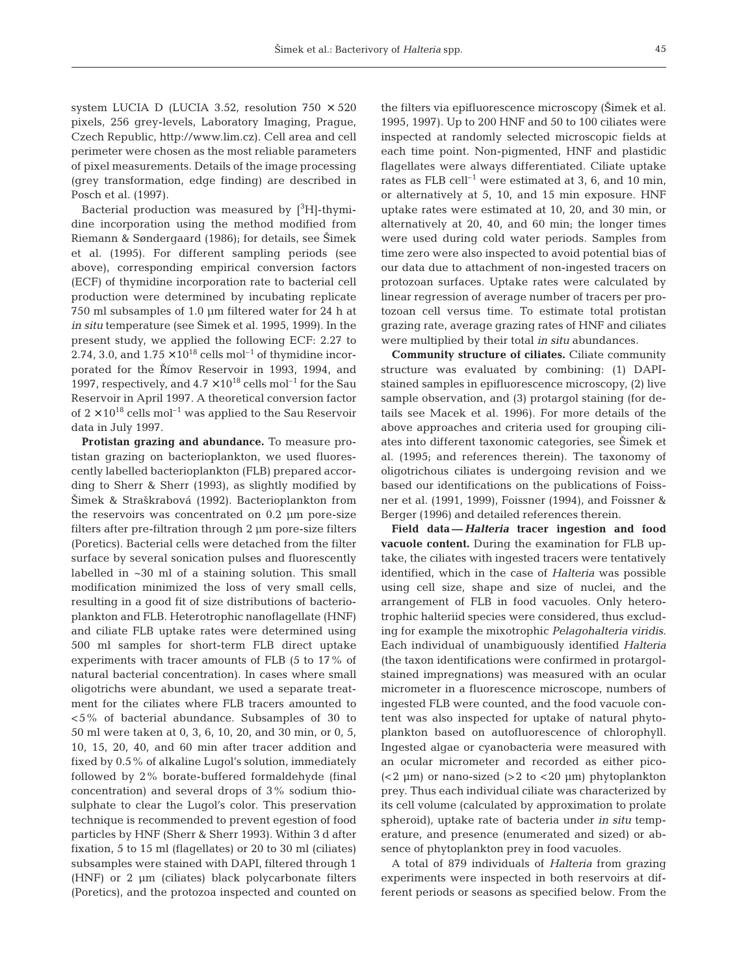system LUCIA D (LUCIA 3.52, resolution  $750 \times 520$ pixels, 256 grey-levels, Laboratory Imaging, Prague, Czech Republic, http://www.lim.cz). Cell area and cell perimeter were chosen as the most reliable parameters of pixel measurements. Details of the image processing (grey transformation, edge finding) are described in Posch et al. (1997).

Bacterial production was measured by  $[{}^{3}H]$ -thymidine incorporation using the method modified from Riemann & Søndergaard (1986); for details, see Šimek et al. (1995). For different sampling periods (see above), corresponding empirical conversion factors (ECF) of thymidine incorporation rate to bacterial cell production were determined by incubating replicate 750 ml subsamples of 1.0 µm filtered water for 24 h at *in situ* temperature (see Šimek et al. 1995, 1999). In the present study, we applied the following ECF: 2.27 to 2.74, 3.0, and  $1.75 \times 10^{18}$  cells mol<sup>-1</sup> of thymidine incorporated for the Římov Reservoir in 1993, 1994, and 1997, respectively, and  $4.7 \times 10^{18}$  cells mol<sup>-1</sup> for the Sau Reservoir in April 1997. A theoretical conversion factor of  $2 \times 10^{18}$  cells mol<sup>-1</sup> was applied to the Sau Reservoir data in July 1997.

**Protistan grazing and abundance.** To measure protistan grazing on bacterioplankton, we used fluorescently labelled bacterioplankton (FLB) prepared according to Sherr & Sherr (1993), as slightly modified by Šimek & Straškrabová (1992). Bacterioplankton from the reservoirs was concentrated on 0.2 µm pore-size filters after pre-filtration through 2 µm pore-size filters (Poretics). Bacterial cells were detached from the filter surface by several sonication pulses and fluorescently labelled in ~30 ml of a staining solution. This small modification minimized the loss of very small cells, resulting in a good fit of size distributions of bacterioplankton and FLB. Heterotrophic nanoflagellate (HNF) and ciliate FLB uptake rates were determined using 500 ml samples for short-term FLB direct uptake experiments with tracer amounts of FLB (5 to 17% of natural bacterial concentration). In cases where small oligotrichs were abundant, we used a separate treatment for the ciliates where FLB tracers amounted to <5% of bacterial abundance. Subsamples of 30 to 50 ml were taken at 0, 3, 6, 10, 20, and 30 min, or 0, 5, 10, 15, 20, 40, and 60 min after tracer addition and fixed by 0.5% of alkaline Lugol's solution, immediately followed by 2% borate-buffered formaldehyde (final concentration) and several drops of 3% sodium thiosulphate to clear the Lugol's color. This preservation technique is recommended to prevent egestion of food particles by HNF (Sherr & Sherr 1993). Within 3 d after fixation, 5 to 15 ml (flagellates) or 20 to 30 ml (ciliates) subsamples were stained with DAPI, filtered through 1 (HNF) or 2 µm (ciliates) black polycarbonate filters (Poretics), and the protozoa inspected and counted on

the filters via epifluorescence microscopy (Šimek et al. 1995, 1997). Up to 200 HNF and 50 to 100 ciliates were inspected at randomly selected microscopic fields at each time point. Non-pigmented, HNF and plastidic flagellates were always differentiated. Ciliate uptake rates as FLB cell<sup>-1</sup> were estimated at 3, 6, and 10 min, or alternatively at 5, 10, and 15 min exposure. HNF uptake rates were estimated at 10, 20, and 30 min, or alternatively at 20, 40, and 60 min; the longer times were used during cold water periods. Samples from time zero were also inspected to avoid potential bias of our data due to attachment of non-ingested tracers on protozoan surfaces. Uptake rates were calculated by linear regression of average number of tracers per protozoan cell versus time. To estimate total protistan grazing rate, average grazing rates of HNF and ciliates were multiplied by their total *in situ* abundances.

**Community structure of ciliates.** Ciliate community structure was evaluated by combining: (1) DAPIstained samples in epifluorescence microscopy, (2) live sample observation, and (3) protargol staining (for details see Macek et al. 1996). For more details of the above approaches and criteria used for grouping ciliates into different taxonomic categories, see Simek et al. (1995; and references therein). The taxonomy of oligotrichous ciliates is undergoing revision and we based our identifications on the publications of Foissner et al. (1991, 1999), Foissner (1994), and Foissner & Berger (1996) and detailed references therein.

**Field data —** *Halteria* **tracer ingestion and food vacuole content.** During the examination for FLB uptake, the ciliates with ingested tracers were tentatively identified, which in the case of *Halteria* was possible using cell size, shape and size of nuclei, and the arrangement of FLB in food vacuoles. Only heterotrophic halteriid species were considered, thus excluding for example the mixotrophic *Pelagohalteria viridis*. Each individual of unambiguously identified *Halteria* (the taxon identifications were confirmed in protargolstained impregnations) was measured with an ocular micrometer in a fluorescence microscope, numbers of ingested FLB were counted, and the food vacuole content was also inspected for uptake of natural phytoplankton based on autofluorescence of chlorophyll. Ingested algae or cyanobacteria were measured with an ocular micrometer and recorded as either pico-  $( $2 \mu m$ ) or nano-sized ( $>2 \text{ to }  $20 \mu m$ ) phytoplankton$$ prey. Thus each individual ciliate was characterized by its cell volume (calculated by approximation to prolate spheroid), uptake rate of bacteria under *in situ* temperature, and presence (enumerated and sized) or absence of phytoplankton prey in food vacuoles.

A total of 879 individuals of *Halteria* from grazing experiments were inspected in both reservoirs at different periods or seasons as specified below. From the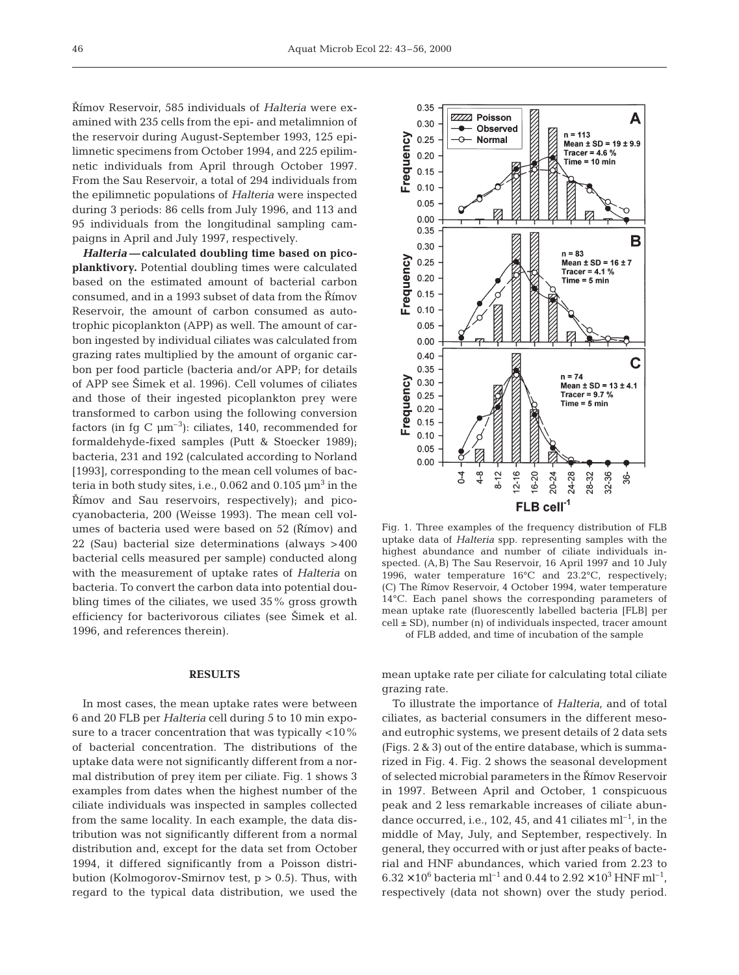Římov Reservoir, 585 individuals of *Halteria* were examined with 235 cells from the epi- and metalimnion of the reservoir during August-September 1993, 125 epilimnetic specimens from October 1994, and 225 epilimnetic individuals from April through October 1997. From the Sau Reservoir, a total of 294 individuals from the epilimnetic populations of *Halteria* were inspected during 3 periods: 86 cells from July 1996, and 113 and 95 individuals from the longitudinal sampling campaigns in April and July 1997, respectively.

*Halteria —* **calculated doubling time based on picoplanktivory.** Potential doubling times were calculated based on the estimated amount of bacterial carbon consumed, and in a 1993 subset of data from the Římov Reservoir, the amount of carbon consumed as autotrophic picoplankton (APP) as well. The amount of carbon ingested by individual ciliates was calculated from grazing rates multiplied by the amount of organic carbon per food particle (bacteria and/or APP; for details of APP see Šimek et al. 1996). Cell volumes of ciliates and those of their ingested picoplankton prey were transformed to carbon using the following conversion factors (in fg C  $\mu$ m<sup>-3</sup>): ciliates, 140, recommended for formaldehyde-fixed samples (Putt & Stoecker 1989); bacteria, 231 and 192 (calculated according to Norland [1993], corresponding to the mean cell volumes of bacteria in both study sites, i.e., 0.062 and 0.105  $\mu$ m<sup>3</sup> in the  $\check{R}$ *imov* and Sau reservoirs, respectively); and picocyanobacteria, 200 (Weisse 1993). The mean cell volumes of bacteria used were based on 52 (Římov) and 22 (Sau) bacterial size determinations (always >400 bacterial cells measured per sample) conducted along with the measurement of uptake rates of *Halteria* on bacteria. To convert the carbon data into potential doubling times of the ciliates, we used 35% gross growth efficiency for bacterivorous ciliates (see Šimek et al. 1996, and references therein).

#### **RESULTS**

In most cases, the mean uptake rates were between 6 and 20 FLB per *Halteria* cell during 5 to 10 min exposure to a tracer concentration that was typically <10% of bacterial concentration. The distributions of the uptake data were not significantly different from a normal distribution of prey item per ciliate. Fig. 1 shows 3 examples from dates when the highest number of the ciliate individuals was inspected in samples collected from the same locality. In each example, the data distribution was not significantly different from a normal distribution and, except for the data set from October 1994, it differed significantly from a Poisson distribution (Kolmogorov-Smirnov test,  $p > 0.5$ ). Thus, with regard to the typical data distribution, we used the



Fig. 1. Three examples of the frequency distribution of FLB uptake data of *Halteria* spp. representing samples with the highest abundance and number of ciliate individuals inspected. (A,B) The Sau Reservoir, 16 April 1997 and 10 July 1996, water temperature 16°C and 23.2°C, respectively; (C) The Římov Reservoir, 4 October 1994, water temperature 14°C. Each panel shows the corresponding parameters of mean uptake rate (fluorescently labelled bacteria [FLB] per  $cell \pm SD$ , number (n) of individuals inspected, tracer amount of FLB added, and time of incubation of the sample

mean uptake rate per ciliate for calculating total ciliate grazing rate.

To illustrate the importance of *Halteria*, and of total ciliates, as bacterial consumers in the different mesoand eutrophic systems, we present details of 2 data sets (Figs. 2 & 3) out of the entire database, which is summarized in Fig. 4. Fig. 2 shows the seasonal development of selected microbial parameters in the Římov Reservoir in 1997. Between April and October, 1 conspicuous peak and 2 less remarkable increases of ciliate abundance occurred, i.e., 102, 45, and 41 ciliates  $ml^{-1}$ , in the middle of May, July, and September, respectively. In general, they occurred with or just after peaks of bacterial and HNF abundances, which varied from 2.23 to  $6.32 \times 10^6$  bacteria ml<sup>-1</sup> and 0.44 to  $2.92 \times 10^3$  HNF ml<sup>-1</sup>, respectively (data not shown) over the study period.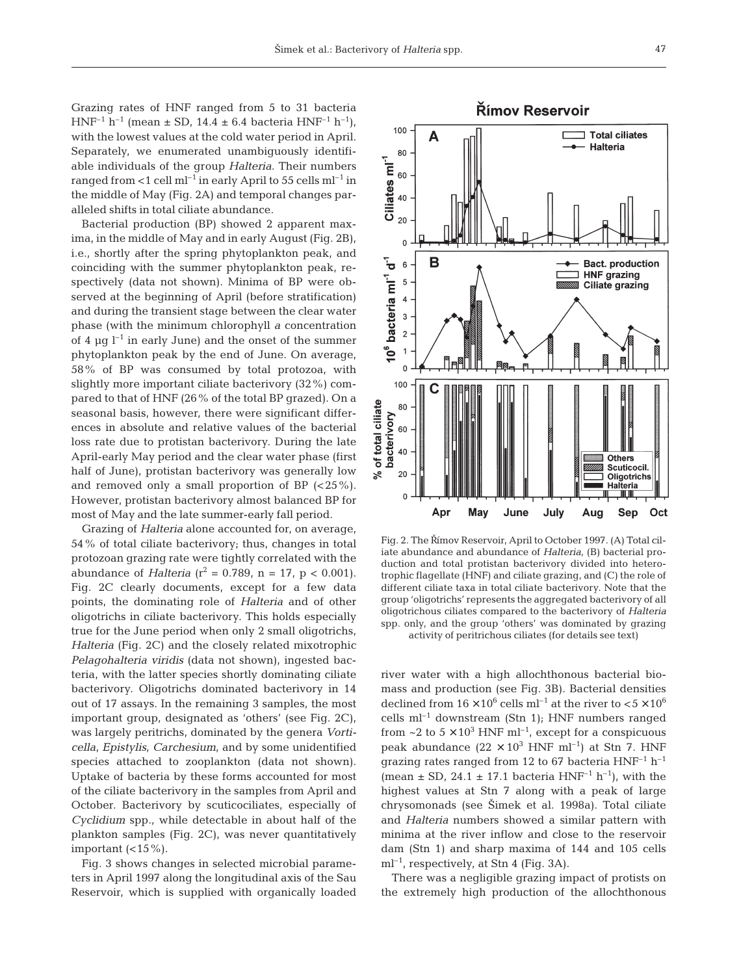Grazing rates of HNF ranged from 5 to 31 bacteria  $HNF^{-1} h^{-1}$  (mean  $\pm$  SD, 14.4  $\pm$  6.4 bacteria  $HNF^{-1} h^{-1}$ ), with the lowest values at the cold water period in April. Separately, we enumerated unambiguously identifiable individuals of the group *Halteria*. Their numbers ranged from  $<$ 1 cell ml<sup>-1</sup> in early April to 55 cells ml<sup>-1</sup> in the middle of May (Fig. 2A) and temporal changes paralleled shifts in total ciliate abundance.

Bacterial production (BP) showed 2 apparent maxima, in the middle of May and in early August (Fig. 2B), i.e., shortly after the spring phytoplankton peak, and coinciding with the summer phytoplankton peak, respectively (data not shown). Minima of BP were observed at the beginning of April (before stratification) and during the transient stage between the clear water phase (with the minimum chlorophyll *a* concentration of 4  $\mu$ q l<sup>-1</sup> in early June) and the onset of the summer phytoplankton peak by the end of June. On average, 58% of BP was consumed by total protozoa, with slightly more important ciliate bacterivory (32%) compared to that of HNF (26% of the total BP grazed). On a seasonal basis, however, there were significant differences in absolute and relative values of the bacterial loss rate due to protistan bacterivory. During the late April-early May period and the clear water phase (first half of June), protistan bacterivory was generally low and removed only a small proportion of BP  $(<25\%)$ . However, protistan bacterivory almost balanced BP for most of May and the late summer-early fall period.

Grazing of *Halteria* alone accounted for, on average, 54% of total ciliate bacterivory; thus, changes in total protozoan grazing rate were tightly correlated with the abundance of *Halteria* ( $r^2 = 0.789$ , n = 17, p < 0.001). Fig. 2C clearly documents, except for a few data points, the dominating role of *Halteria* and of other oligotrichs in ciliate bacterivory. This holds especially true for the June period when only 2 small oligotrichs, *Halteria* (Fig. 2C) and the closely related mixotrophic *Pelagohalteria viridis* (data not shown), ingested bacteria, with the latter species shortly dominating ciliate bacterivory. Oligotrichs dominated bacterivory in 14 out of 17 assays. In the remaining 3 samples, the most important group, designated as 'others' (see Fig. 2C), was largely peritrichs, dominated by the genera *Vorticella, Epistylis, Carchesium,* and by some unidentified species attached to zooplankton (data not shown). Uptake of bacteria by these forms accounted for most of the ciliate bacterivory in the samples from April and October. Bacterivory by scuticociliates, especially of *Cyclidium* spp., while detectable in about half of the plankton samples (Fig. 2C), was never quantitatively important  $\left( < 15\% \right)$ .

Fig. 3 shows changes in selected microbial parameters in April 1997 along the longitudinal axis of the Sau Reservoir, which is supplied with organically loaded



Fig. 2. The Římov Reservoir, April to October 1997. (A) Total ciliate abundance and abundance of *Halteria*, (B) bacterial production and total protistan bacterivory divided into heterotrophic flagellate (HNF) and ciliate grazing, and (C) the role of different ciliate taxa in total ciliate bacterivory. Note that the group 'oligotrichs' represents the aggregated bacterivory of all oligotrichous ciliates compared to the bacterivory of *Halteria* spp. only, and the group 'others' was dominated by grazing activity of peritrichous ciliates (for details see text)

river water with a high allochthonous bacterial biomass and production (see Fig. 3B). Bacterial densities declined from  $16 \times 10^6$  cells ml<sup>-1</sup> at the river to  $< 5 \times 10^6$ cells  $ml^{-1}$  downstream (Stn 1); HNF numbers ranged from ~2 to  $5 \times 10^3$  HNF ml<sup>-1</sup>, except for a conspicuous peak abundance  $(22 \times 10^3 \text{ HNF} \text{ ml}^{-1})$  at Stn 7. HNF grazing rates ranged from 12 to 67 bacteria  $HNF^{-1} h^{-1}$ (mean  $\pm$  SD, 24.1  $\pm$  17.1 bacteria HNF<sup>-1</sup> h<sup>-1</sup>), with the highest values at Stn 7 along with a peak of large chrysomonads (see Šimek et al. 1998a). Total ciliate and *Halteria* numbers showed a similar pattern with minima at the river inflow and close to the reservoir dam (Stn 1) and sharp maxima of 144 and 105 cells  $ml^{-1}$ , respectively, at Stn 4 (Fig. 3A).

There was a negligible grazing impact of protists on the extremely high production of the allochthonous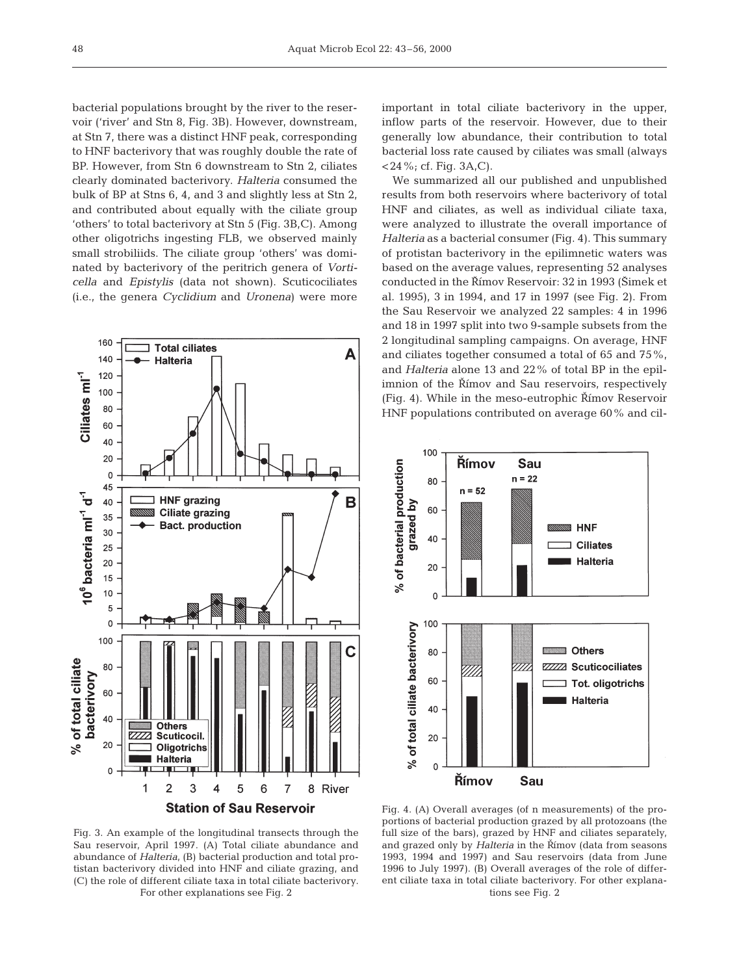bacterial populations brought by the river to the reservoir ('river' and Stn 8, Fig. 3B). However, downstream, at Stn 7, there was a distinct HNF peak, corresponding to HNF bacterivory that was roughly double the rate of BP. However, from Stn 6 downstream to Stn 2, ciliates clearly dominated bacterivory. *Halteria* consumed the bulk of BP at Stns 6, 4, and 3 and slightly less at Stn 2, and contributed about equally with the ciliate group 'others' to total bacterivory at Stn 5 (Fig. 3B,C). Among other oligotrichs ingesting FLB, we observed mainly small strobiliids. The ciliate group 'others' was dominated by bacterivory of the peritrich genera of *Vorticella* and *Epistylis* (data not shown). Scuticociliates (i.e., the genera *Cyclidium* and *Uronena*) were more



important in total ciliate bacterivory in the upper, inflow parts of the reservoir. However, due to their generally low abundance, their contribution to total bacterial loss rate caused by ciliates was small (always  $<$  24 %; cf. Fig. 3A,C).

We summarized all our published and unpublished results from both reservoirs where bacterivory of total HNF and ciliates, as well as individual ciliate taxa, were analyzed to illustrate the overall importance of *Halteria* as a bacterial consumer (Fig. 4). This summary of protistan bacterivory in the epilimnetic waters was based on the average values, representing 52 analyses conducted in the Římov Reservoir: 32 in 1993 (Šimek et al. 1995), 3 in 1994, and 17 in 1997 (see Fig. 2). From the Sau Reservoir we analyzed 22 samples: 4 in 1996 and 18 in 1997 split into two 9-sample subsets from the 2 longitudinal sampling campaigns. On average, HNF and ciliates together consumed a total of 65 and 75%, and *Halteria* alone 13 and 22% of total BP in the epilimnion of the Římov and Sau reservoirs, respectively  $(Fiq. 4)$ . While in the meso-eutrophic Římov Reservoir HNF populations contributed on average 60% and cil-



Fig. 3. An example of the longitudinal transects through the Sau reservoir, April 1997. (A) Total ciliate abundance and abundance of *Halteria*, (B) bacterial production and total protistan bacterivory divided into HNF and ciliate grazing, and (C) the role of different ciliate taxa in total ciliate bacterivory. For other explanations see Fig. 2

Fig. 4. (A) Overall averages (of n measurements) of the proportions of bacterial production grazed by all protozoans (the full size of the bars), grazed by HNF and ciliates separately, and grazed only by *Halteria* in the Římov (data from seasons 1993, 1994 and 1997) and Sau reservoirs (data from June 1996 to July 1997). (B) Overall averages of the role of different ciliate taxa in total ciliate bacterivory. For other explanations see Fig. 2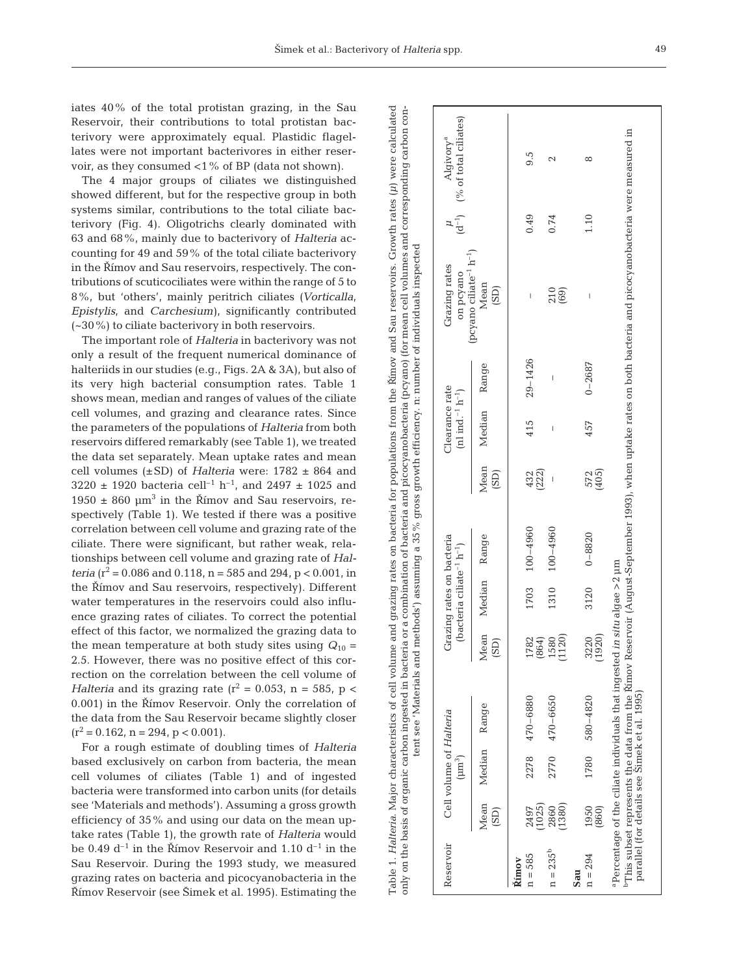iates 40% of the total protistan grazing, in the Sau Reservoir, their contributions to total protistan bacterivory were approximately equal. Plastidic flagellates were not important bacterivores in either reservoir, as they consumed <1% of BP (data not shown).

The 4 major groups of ciliates we distinguished showed different, but for the respective group in both systems similar, contributions to the total ciliate bacterivory (Fig. 4). Oligotrichs clearly dominated with 63 and 68%, mainly due to bacterivory of *Halteria* accounting for 49 and 59% of the total ciliate bacterivory in the Římov and Sau reservoirs, respectively. The contributions of scuticociliates were within the range of 5 to 8%, but 'others', mainly peritrich ciliates (*Vorticalla, Epistylis,* and *Carchesium*), significantly contributed (~30%) to ciliate bacterivory in both reservoirs.

The important role of *Halteria* in bacterivory was not only a result of the frequent numerical dominance of halteriids in our studies (e.g., Figs. 2A & 3A), but also of its very high bacterial consumption rates. Table 1 shows mean, median and ranges of values of the ciliate cell volumes, and grazing and clearance rates. Since the parameters of the populations of *Halteria* from both reservoirs differed remarkably (see Table 1), we treated the data set separately. Mean uptake rates and mean cell volumes (±SD) of *Halteria* were: 1782 ± 864 and 3220 ± 1920 bacteria cell<sup>-1</sup> h<sup>-1</sup>, and 2497 ± 1025 and  $1950 \pm 860$  µm<sup>3</sup> in the Římov and Sau reservoirs, respectively (Table 1). We tested if there was a positive correlation between cell volume and grazing rate of the ciliate. There were significant, but rather weak, relationships between cell volume and grazing rate of *Halteria* ( $r^2$  = 0.086 and 0.118, n = 585 and 294, p < 0.001, in the Rímov and Sau reservoirs, respectively). Different water temperatures in the reservoirs could also influence grazing rates of ciliates. To correct the potential effect of this factor, we normalized the grazing data to the mean temperature at both study sites using  $Q_{10}$  = 2.5. However, there was no positive effect of this correction on the correlation between the cell volume of *Halteria* and its grazing rate ( $r^2$  = 0.053, n = 585, p < 0.001) in the Římov Reservoir. Only the correlation of the data from the Sau Reservoir became slightly closer  $(r^2 = 0.162, n = 294, p < 0.001).$ 

For a rough estimate of doubling times of *Halteria* based exclusively on carbon from bacteria, the mean cell volumes of ciliates (Table 1) and of ingested bacteria were transformed into carbon units (for details see 'Materials and methods'). Assuming a gross growth efficiency of 35% and using our data on the mean uptake rates (Table 1), the growth rate of *Halteria* would be 0.49  $d^{-1}$  in the Římov Reservoir and 1.10  $d^{-1}$  in the Sau Reservoir. During the 1993 study, we measured grazing rates on bacteria and picocyanobacteria in the Římov Reservoir (see Šimek et al. 1995). Estimating the

|                    |                |                                        |                                                                                                                                                                                                                     |               |                                                                                |              |              |                                                            |             | on the basis of organic carbon ingested in bacteria or a combination of bacteria and picocyanobacteria (pcyano) (for mean cell volumes and corresponding carbon con-<br>tent see 'Materials and methods') assuming a 35% gross growth efficiency. n: number of individuals inspected |      |                                                           |
|--------------------|----------------|----------------------------------------|---------------------------------------------------------------------------------------------------------------------------------------------------------------------------------------------------------------------|---------------|--------------------------------------------------------------------------------|--------------|--------------|------------------------------------------------------------|-------------|--------------------------------------------------------------------------------------------------------------------------------------------------------------------------------------------------------------------------------------------------------------------------------------|------|-----------------------------------------------------------|
| Reservoir          |                | Cell volume of Halteria<br>$(\mu m^3)$ |                                                                                                                                                                                                                     |               | Grazing rates on bacteria<br>(bacteria ciliate <sup>-1</sup> h <sup>-1</sup> ) |              |              | Clearance rate<br>(nl ind. <sup>-1</sup> h <sup>-1</sup> ) |             | (pcyano ciliate <sup>-1</sup> $h^{-1}$ )<br>Grazing rates<br>on pcyano                                                                                                                                                                                                               |      | $(d^{-1})$ (% of total ciliates)<br>Algivory <sup>a</sup> |
|                    | Mean<br>(SD)   | Median                                 | Range                                                                                                                                                                                                               | Mean<br>(SD)  | Median                                                                         | Range        | Mean<br>(SD) | Median                                                     | Range       | Mean<br>(SD)                                                                                                                                                                                                                                                                         |      |                                                           |
| $n = 585$<br>Římov | (1025)<br>2497 | 2278                                   | 470-6880                                                                                                                                                                                                            | 1782<br>(864) | 1703                                                                           | $100 - 4960$ | 432<br>(222) | 415                                                        | $29 - 1426$ | I                                                                                                                                                                                                                                                                                    | 0.49 | 9.5                                                       |
| $n = 235^{b}$      | 2860<br>(1380) | 2770                                   | 470-6650                                                                                                                                                                                                            | 1120)<br>1580 | 1310                                                                           | $100 - 4960$ |              | I                                                          | Ï           | $210$<br>$(69)$                                                                                                                                                                                                                                                                      | 0.74 | 2                                                         |
| $n = 294$<br>Sau   | 1950<br>(860)  | 1780                                   | 580-4820                                                                                                                                                                                                            | 1920)<br>3220 | 3120                                                                           | $0 - 8820$   | 572<br>(405) | 457                                                        | $0 - 2687$  | I                                                                                                                                                                                                                                                                                    | 1.10 | $\infty$                                                  |
|                    |                |                                        | $\rm ^{a}$ Percentage of the ciliate individuals that ingested <i>in situ</i> algae >2 $\rm \mu m$<br><sup>b</sup> This subset represents the data from the Rimov I<br>parallel (for details see Simek et al. 1995) |               |                                                                                |              |              |                                                            |             | Reservoir (August-September 1993), when uptake rates on both bacteria and picocyanobacteria were measured in                                                                                                                                                                         |      |                                                           |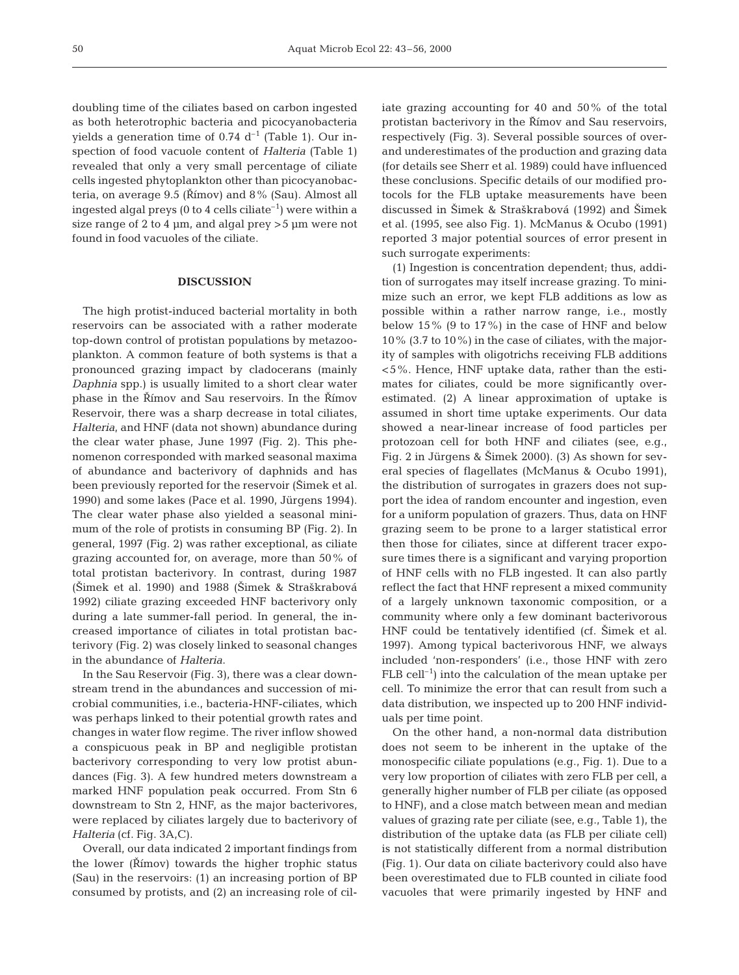doubling time of the ciliates based on carbon ingested as both heterotrophic bacteria and picocyanobacteria yields a generation time of  $0.74$  d<sup>-1</sup> (Table 1). Our inspection of food vacuole content of *Halteria* (Table 1) revealed that only a very small percentage of ciliate cells ingested phytoplankton other than picocyanobacteria, on average  $9.5$  ( $\check{R}$ ímov) and  $8\%$  (Sau). Almost all ingested algal preys (0 to 4 cells ciliate<sup>-1</sup>) were within a size range of 2 to 4  $\mu$ m, and algal prey  $>$  5  $\mu$ m were not found in food vacuoles of the ciliate.

#### **DISCUSSION**

The high protist-induced bacterial mortality in both reservoirs can be associated with a rather moderate top-down control of protistan populations by metazooplankton. A common feature of both systems is that a pronounced grazing impact by cladocerans (mainly *Daphnia* spp.) is usually limited to a short clear water phase in the Římov and Sau reservoirs. In the Římov Reservoir, there was a sharp decrease in total ciliates, *Halteria*, and HNF (data not shown) abundance during the clear water phase, June 1997 (Fig. 2). This phenomenon corresponded with marked seasonal maxima of abundance and bacterivory of daphnids and has been previously reported for the reservoir (Simek et al. 1990) and some lakes (Pace et al. 1990, Jürgens 1994). The clear water phase also yielded a seasonal minimum of the role of protists in consuming BP (Fig. 2). In general, 1997 (Fig. 2) was rather exceptional, as ciliate grazing accounted for, on average, more than 50% of total protistan bacterivory. In contrast, during 1987 (Šimek et al. 1990) and 1988 (Šimek & Straškrabová 1992) ciliate grazing exceeded HNF bacterivory only during a late summer-fall period. In general, the increased importance of ciliates in total protistan bacterivory (Fig. 2) was closely linked to seasonal changes in the abundance of *Halteria*.

In the Sau Reservoir (Fig. 3), there was a clear downstream trend in the abundances and succession of microbial communities, i.e., bacteria-HNF-ciliates, which was perhaps linked to their potential growth rates and changes in water flow regime. The river inflow showed a conspicuous peak in BP and negligible protistan bacterivory corresponding to very low protist abundances (Fig. 3). A few hundred meters downstream a marked HNF population peak occurred. From Stn 6 downstream to Stn 2, HNF, as the major bacterivores, were replaced by ciliates largely due to bacterivory of *Halteria* (cf. Fig. 3A,C).

Overall, our data indicated 2 important findings from the lower (Rímov) towards the higher trophic status (Sau) in the reservoirs: (1) an increasing portion of BP consumed by protists, and (2) an increasing role of ciliate grazing accounting for 40 and 50% of the total protistan bacterivory in the Římov and Sau reservoirs, respectively (Fig. 3). Several possible sources of overand underestimates of the production and grazing data (for details see Sherr et al. 1989) could have influenced these conclusions. Specific details of our modified protocols for the FLB uptake measurements have been discussed in Šimek & Straškrabová (1992) and Šimek et al. (1995, see also Fig. 1). McManus & Ocubo (1991) reported 3 major potential sources of error present in such surrogate experiments:

(1) Ingestion is concentration dependent; thus, addition of surrogates may itself increase grazing. To minimize such an error, we kept FLB additions as low as possible within a rather narrow range, i.e., mostly below 15% (9 to 17%) in the case of HNF and below 10% (3.7 to 10%) in the case of ciliates, with the majority of samples with oligotrichs receiving FLB additions <5%. Hence, HNF uptake data, rather than the estimates for ciliates, could be more significantly overestimated. (2) A linear approximation of uptake is assumed in short time uptake experiments. Our data showed a near-linear increase of food particles per protozoan cell for both HNF and ciliates (see, e.g., Fig. 2 in Jürgens & Šimek 2000). (3) As shown for several species of flagellates (McManus & Ocubo 1991), the distribution of surrogates in grazers does not support the idea of random encounter and ingestion, even for a uniform population of grazers. Thus, data on HNF grazing seem to be prone to a larger statistical error then those for ciliates, since at different tracer exposure times there is a significant and varying proportion of HNF cells with no FLB ingested. It can also partly reflect the fact that HNF represent a mixed community of a largely unknown taxonomic composition, or a community where only a few dominant bacterivorous HNF could be tentatively identified (cf. Šimek et al. 1997). Among typical bacterivorous HNF, we always included 'non-responders' (i.e., those HNF with zero  $FLB$  cell<sup>-1</sup>) into the calculation of the mean uptake per cell. To minimize the error that can result from such a data distribution, we inspected up to 200 HNF individuals per time point.

On the other hand, a non-normal data distribution does not seem to be inherent in the uptake of the monospecific ciliate populations (e.g., Fig. 1). Due to a very low proportion of ciliates with zero FLB per cell, a generally higher number of FLB per ciliate (as opposed to HNF), and a close match between mean and median values of grazing rate per ciliate (see, e.g., Table 1), the distribution of the uptake data (as FLB per ciliate cell) is not statistically different from a normal distribution (Fig. 1). Our data on ciliate bacterivory could also have been overestimated due to FLB counted in ciliate food vacuoles that were primarily ingested by HNF and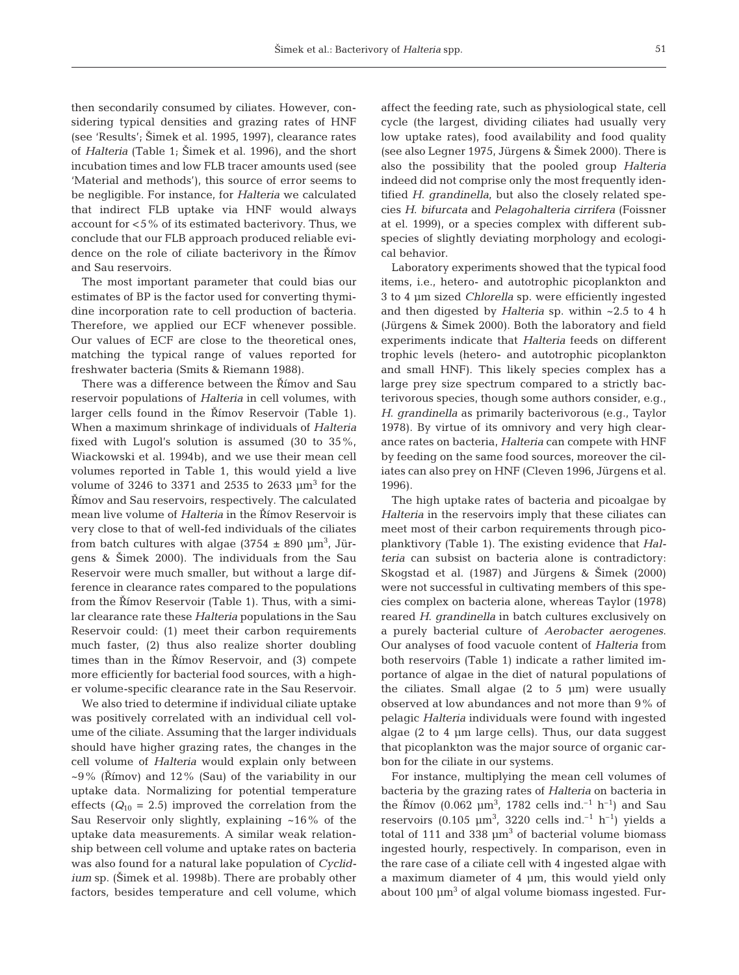then secondarily consumed by ciliates. However, considering typical densities and grazing rates of HNF (see 'Results'; Šimek et al. 1995, 1997), clearance rates of *Halteria* (Table 1; Šimek et al. 1996), and the short incubation times and low FLB tracer amounts used (see 'Material and methods'), this source of error seems to be negligible. For instance, for *Halteria* we calculated that indirect FLB uptake via HNF would always account for <5% of its estimated bacterivory. Thus, we conclude that our FLB approach produced reliable evidence on the role of ciliate bacterivory in the Římov and Sau reservoirs.

The most important parameter that could bias our estimates of BP is the factor used for converting thymidine incorporation rate to cell production of bacteria. Therefore, we applied our ECF whenever possible. Our values of ECF are close to the theoretical ones, matching the typical range of values reported for freshwater bacteria (Smits & Riemann 1988).

There was a difference between the Římov and Sau reservoir populations of *Halteria* in cell volumes, with larger cells found in the Římov Reservoir (Table 1). When a maximum shrinkage of individuals of *Halteria* fixed with Lugol's solution is assumed (30 to 35%, Wiackowski et al. 1994b), and we use their mean cell volumes reported in Table 1, this would yield a live volume of 3246 to 3371 and 2535 to 2633  $\mu$ m<sup>3</sup> for the Římov and Sau reservoirs, respectively. The calculated mean live volume of *Halteria* in the Římov Reservoir is very close to that of well-fed individuals of the ciliates from batch cultures with algae  $(3754 \pm 890 \text{ }\mu\text{m}^3)$ , Jürgens & Simek 2000). The individuals from the Sau Reservoir were much smaller, but without a large difference in clearance rates compared to the populations from the Římov Reservoir (Table 1). Thus, with a similar clearance rate these *Halteria* populations in the Sau Reservoir could: (1) meet their carbon requirements much faster, (2) thus also realize shorter doubling times than in the Římov Reservoir, and (3) compete more efficiently for bacterial food sources, with a higher volume-specific clearance rate in the Sau Reservoir.

We also tried to determine if individual ciliate uptake was positively correlated with an individual cell volume of the ciliate. Assuming that the larger individuals should have higher grazing rates, the changes in the cell volume of *Halteria* would explain only between  $\sim$ 9% (Římov) and 12% (Sau) of the variability in our uptake data. Normalizing for potential temperature effects  $(Q_{10} = 2.5)$  improved the correlation from the Sau Reservoir only slightly, explaining ~16% of the uptake data measurements. A similar weak relationship between cell volume and uptake rates on bacteria was also found for a natural lake population of *Cyclidium* sp. (Šimek et al. 1998b). There are probably other factors, besides temperature and cell volume, which

affect the feeding rate, such as physiological state, cell cycle (the largest, dividing ciliates had usually very low uptake rates), food availability and food quality (see also Legner 1975, Jürgens & Šimek 2000). There is also the possibility that the pooled group *Halteria* indeed did not comprise only the most frequently identified *H*. *grandinella,* but also the closely related species *H*. *bifurcata* and *Pelagohalteria cirrifera* (Foissner at el. 1999), or a species complex with different subspecies of slightly deviating morphology and ecological behavior.

Laboratory experiments showed that the typical food items, i.e., hetero- and autotrophic picoplankton and 3 to 4 µm sized *Chlorella* sp. were efficiently ingested and then digested by *Halteria* sp. within ~2.5 to 4 h (Jürgens & Šimek 2000). Both the laboratory and field experiments indicate that *Halteria* feeds on different trophic levels (hetero- and autotrophic picoplankton and small HNF). This likely species complex has a large prey size spectrum compared to a strictly bacterivorous species, though some authors consider, e.g., *H*. *grandinella* as primarily bacterivorous (e.g., Taylor 1978). By virtue of its omnivory and very high clearance rates on bacteria, *Halteria* can compete with HNF by feeding on the same food sources, moreover the ciliates can also prey on HNF (Cleven 1996, Jürgens et al. 1996).

The high uptake rates of bacteria and picoalgae by *Halteria* in the reservoirs imply that these ciliates can meet most of their carbon requirements through picoplanktivory (Table 1). The existing evidence that *Halteria* can subsist on bacteria alone is contradictory: Skogstad et al. (1987) and Jürgens & Šimek (2000) were not successful in cultivating members of this species complex on bacteria alone, whereas Taylor (1978) reared *H*. *grandinella* in batch cultures exclusively on a purely bacterial culture of *Aerobacter aerogenes*. Our analyses of food vacuole content of *Halteria* from both reservoirs (Table 1) indicate a rather limited importance of algae in the diet of natural populations of the ciliates. Small algae  $(2 \text{ to } 5 \text{ µm})$  were usually observed at low abundances and not more than 9% of pelagic *Halteria* individuals were found with ingested algae (2 to 4 µm large cells). Thus, our data suggest that picoplankton was the major source of organic carbon for the ciliate in our systems.

For instance, multiplying the mean cell volumes of bacteria by the grazing rates of *Halteria* on bacteria in the Římov (0.062  $\mu$ m<sup>3</sup>, 1782 cells ind.<sup>-1</sup> h<sup>-1</sup>) and Sau reservoirs (0.105  $\mu$ m<sup>3</sup>, 3220 cells ind.<sup>-1</sup> h<sup>-1</sup>) yields a total of 111 and 338  $\mu$ m<sup>3</sup> of bacterial volume biomass ingested hourly, respectively. In comparison, even in the rare case of a ciliate cell with 4 ingested algae with a maximum diameter of 4 µm, this would yield only about  $100 \mu m^3$  of algal volume biomass ingested. Fur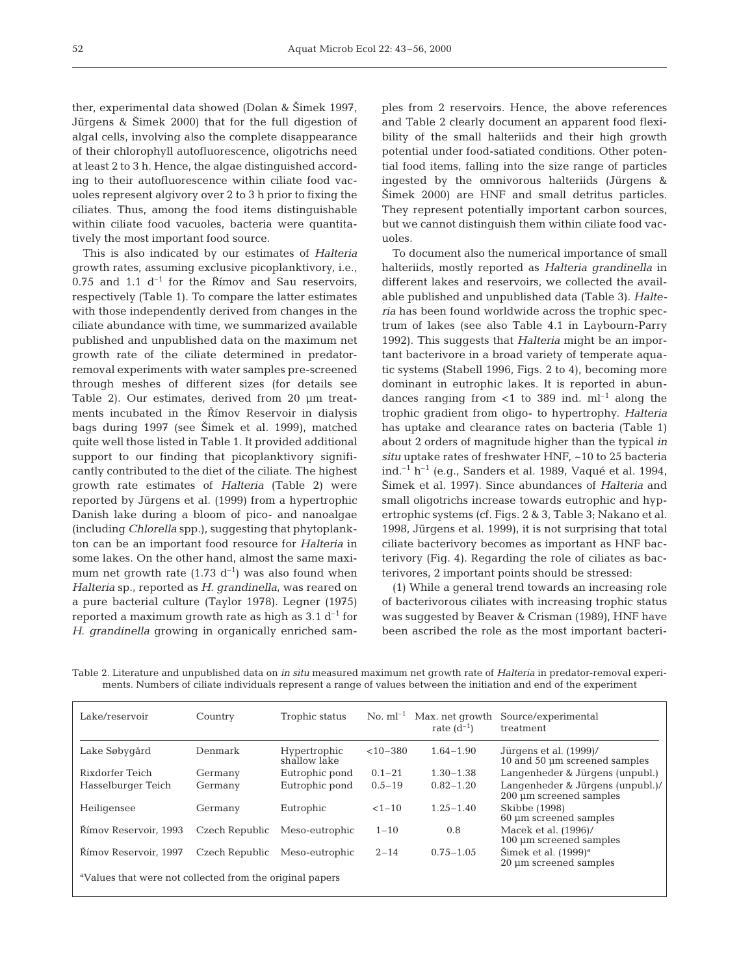ther, experimental data showed (Dolan & Šimek 1997, Jürgens & Šimek 2000) that for the full digestion of algal cells, involving also the complete disappearance of their chlorophyll autofluorescence, oligotrichs need at least 2 to 3 h. Hence, the algae distinguished according to their autofluorescence within ciliate food vacuoles represent algivory over 2 to 3 h prior to fixing the ciliates. Thus, among the food items distinguishable within ciliate food vacuoles, bacteria were quantitatively the most important food source.

This is also indicated by our estimates of *Halteria* growth rates, assuming exclusive picoplanktivory, i.e., 0.75 and 1.1  $d^{-1}$  for the Římov and Sau reservoirs, respectively (Table 1). To compare the latter estimates with those independently derived from changes in the ciliate abundance with time, we summarized available published and unpublished data on the maximum net growth rate of the ciliate determined in predatorremoval experiments with water samples pre-screened through meshes of different sizes (for details see Table 2). Our estimates, derived from 20 µm treatments incubated in the Římov Reservoir in dialysis bags during 1997 (see Šimek et al. 1999), matched quite well those listed in Table 1. It provided additional support to our finding that picoplanktivory significantly contributed to the diet of the ciliate. The highest growth rate estimates of *Halteria* (Table 2) were reported by Jürgens et al. (1999) from a hypertrophic Danish lake during a bloom of pico- and nanoalgae (including *Chlorella* spp.), suggesting that phytoplankton can be an important food resource for *Halteria* in some lakes. On the other hand, almost the same maximum net growth rate (1.73  $d^{-1}$ ) was also found when *Halteria* sp., reported as *H*. *grandinella*, was reared on a pure bacterial culture (Taylor 1978). Legner (1975) reported a maximum growth rate as high as  $3.1 d^{-1}$  for *H*. *grandinella* growing in organically enriched samples from 2 reservoirs. Hence, the above references and Table 2 clearly document an apparent food flexibility of the small halteriids and their high growth potential under food-satiated conditions. Other potential food items, falling into the size range of particles ingested by the omnivorous halteriids (Jürgens & Šimek 2000) are HNF and small detritus particles. They represent potentially important carbon sources, but we cannot distinguish them within ciliate food vacuoles.

To document also the numerical importance of small halteriids, mostly reported as *Halteria grandinella* in different lakes and reservoirs, we collected the available published and unpublished data (Table 3). *Halteria* has been found worldwide across the trophic spectrum of lakes (see also Table 4.1 in Laybourn-Parry 1992). This suggests that *Halteria* might be an important bacterivore in a broad variety of temperate aquatic systems (Stabell 1996, Figs. 2 to 4), becoming more dominant in eutrophic lakes. It is reported in abundances ranging from  $\lt 1$  to 389 ind.  $ml^{-1}$  along the trophic gradient from oligo- to hypertrophy. *Halteria* has uptake and clearance rates on bacteria (Table 1) about 2 orders of magnitude higher than the typical *in situ* uptake rates of freshwater HNF, ~10 to 25 bacteria ind.<sup> $-1$ </sup> h<sup> $-1$ </sup> (e.g., Sanders et al. 1989, Vaqué et al. 1994, Šimek et al. 1997). Since abundances of *Halteria* and small oligotrichs increase towards eutrophic and hypertrophic systems (cf. Figs. 2 & 3, Table 3; Nakano et al. 1998, Jürgens et al. 1999), it is not surprising that total ciliate bacterivory becomes as important as HNF bacterivory (Fig. 4). Regarding the role of ciliates as bacterivores, 2 important points should be stressed:

(1) While a general trend towards an increasing role of bacterivorous ciliates with increasing trophic status was suggested by Beaver & Crisman (1989), HNF have been ascribed the role as the most important bacteri-

| Lake/reservoir                                                       | Country        | Trophic status               |              | No. $ml^{-1}$ Max, net growth<br>rate $(d^{-1})$ | Source/experimental<br>treatment                               |  |  |
|----------------------------------------------------------------------|----------------|------------------------------|--------------|--------------------------------------------------|----------------------------------------------------------------|--|--|
| Lake Søbygård                                                        | Denmark        | Hypertrophic<br>shallow lake | $< 10 - 380$ | $1.64 - 1.90$                                    | Jürgens et al. (1999)/<br>$10$ and $50 \mu m$ screened samples |  |  |
| Rixdorfer Teich                                                      | Germany        | Eutrophic pond               | $0.1 - 21$   | $1.30 - 1.38$                                    | Langenheder & Jürgens (unpubl.)                                |  |  |
| Hasselburger Teich                                                   | Germany        | Eutrophic pond               | $0.5 - 19$   | $0.82 - 1.20$                                    | Langenheder & Jürgens (unpubl.)/<br>200 um screened samples    |  |  |
| Heiligensee                                                          | Germany        | Eutrophic                    | $<1-10$      | $1.25 - 1.40$                                    | Skibbe (1998)<br>60 um screened samples                        |  |  |
| Římov Reservoir, 1993                                                | Czech Republic | Meso-eutrophic               | $1 - 10$     | 0.8                                              | Macek et al. (1996)/<br>100 um screened samples                |  |  |
| Rímov Reservoir, 1997                                                | Czech Republic | Meso-eutrophic               | $2 - 14$     | $0.75 - 1.05$                                    | Simek et al. $(1999)^a$<br>20 um screened samples              |  |  |
| <sup>a</sup> Values that were not collected from the original papers |                |                              |              |                                                  |                                                                |  |  |

Table 2. Literature and unpublished data on *in situ* measured maximum net growth rate of *Halteria* in predator-removal experiments. Numbers of ciliate individuals represent a range of values between the initiation and end of the experiment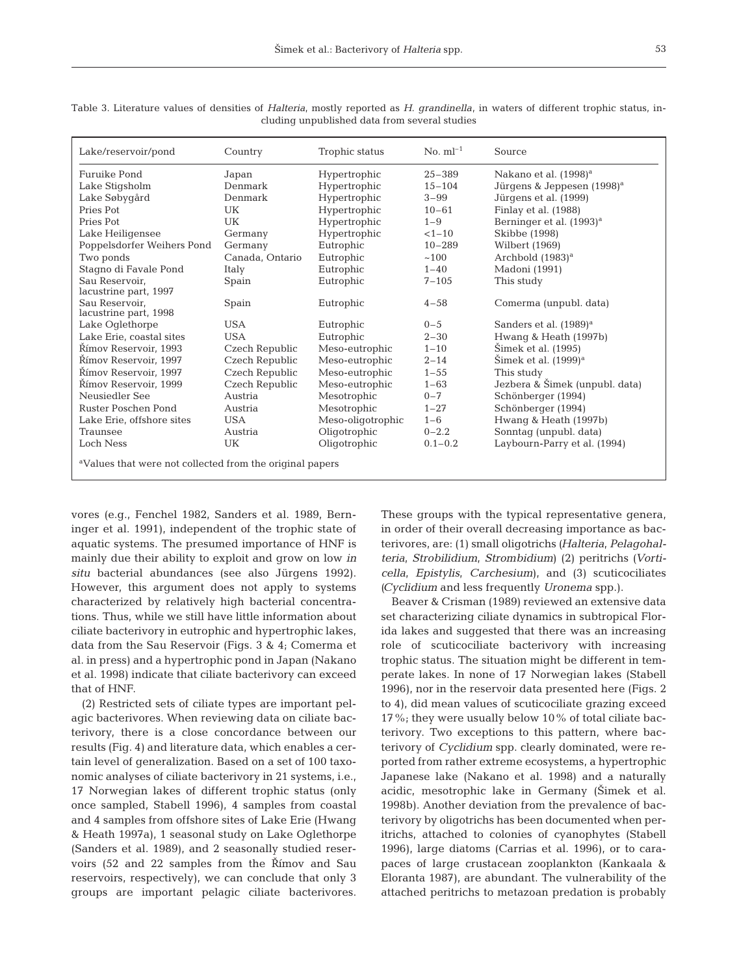| Lake/reservoir/pond                                                  | Country         | Trophic status    | $\mathrm{No.}\mathrm{ml}^{-1}$ | Source                                 |  |
|----------------------------------------------------------------------|-----------------|-------------------|--------------------------------|----------------------------------------|--|
| Furuike Pond                                                         | Japan           | Hypertrophic      | $25 - 389$                     | Nakano et al. (1998) <sup>a</sup>      |  |
| Lake Stigsholm                                                       | Denmark         | Hypertrophic      | $15 - 104$                     | Jürgens & Jeppesen (1998) <sup>a</sup> |  |
| Lake Søbygård                                                        | Denmark         | Hypertrophic      | $3 - 99$                       | Jürgens et al. (1999)                  |  |
| Pries Pot                                                            | UK              | Hypertrophic      | $10 - 61$                      | Finlay et al. (1988)                   |  |
| Pries Pot                                                            | UK              | Hypertrophic      | $1 - 9$                        | Berninger et al. (1993) <sup>a</sup>   |  |
| Lake Heiligensee                                                     | Germany         | Hypertrophic      | $<1-10$                        | Skibbe (1998)                          |  |
| Poppelsdorfer Weihers Pond                                           | Germany         | Eutrophic         | $10 - 289$                     | Wilbert (1969)                         |  |
| Two ponds                                                            | Canada, Ontario | Eutrophic         | ~100                           | Archbold $(1983)^a$                    |  |
| Stagno di Favale Pond                                                | Italy           | Eutrophic         | $1 - 40$                       | Madoni (1991)                          |  |
| Sau Reservoir,<br>lacustrine part, 1997                              | Spain           | Eutrophic         | $7 - 105$                      | This study                             |  |
| Sau Reservoir.<br>lacustrine part, 1998                              | Spain           | Eutrophic         | $4 - 58$                       | Comerma (unpubl. data)                 |  |
| Lake Oglethorpe                                                      | <b>USA</b>      | Eutrophic         | $0 - 5$                        | Sanders et al. (1989) <sup>a</sup>     |  |
| Lake Erie, coastal sites                                             | <b>USA</b>      | Eutrophic         | $2 - 30$                       | Hwang & Heath (1997b)                  |  |
| Římov Reservoir, 1993                                                | Czech Republic  | Meso-eutrophic    | $1 - 10$                       | Šimek et al. (1995)                    |  |
| Římov Reservoir, 1997                                                | Czech Republic  | Meso-eutrophic    | $2 - 14$                       | $\text{Simek}$ et al. $(1999)^a$       |  |
| Římov Reservoir. 1997                                                | Czech Republic  | Meso-eutrophic    | $1 - 55$                       | This study                             |  |
| Římov Reservoir, 1999                                                | Czech Republic  | Meso-eutrophic    | $1 - 63$                       | Jezbera & Šimek (unpubl. data)         |  |
| Neusiedler See                                                       | Austria         | Mesotrophic       | $0 - 7$                        | Schönberger (1994)                     |  |
| Ruster Poschen Pond                                                  | Austria         | Mesotrophic       | $1 - 27$                       | Schönberger (1994)                     |  |
| Lake Erie, offshore sites                                            | <b>USA</b>      | Meso-oligotrophic | $1 - 6$                        | Hwang & Heath (1997b)                  |  |
| Traunsee                                                             | Austria         | Oligotrophic      | $0 - 2.2$                      | Sonntag (unpubl. data)                 |  |
| Loch Ness                                                            | UK              | Oligotrophic      | $0.1 - 0.2$                    | Laybourn-Parry et al. (1994)           |  |
| <sup>a</sup> Values that were not collected from the original papers |                 |                   |                                |                                        |  |

Table 3. Literature values of densities of *Halteria*, mostly reported as *H*. *grandinella*, in waters of different trophic status, including unpublished data from several studies

vores (e.g., Fenchel 1982, Sanders et al. 1989, Berninger et al. 1991), independent of the trophic state of aquatic systems. The presumed importance of HNF is mainly due their ability to exploit and grow on low *in situ* bacterial abundances (see also Jürgens 1992). However, this argument does not apply to systems characterized by relatively high bacterial concentrations. Thus, while we still have little information about ciliate bacterivory in eutrophic and hypertrophic lakes, data from the Sau Reservoir (Figs. 3 & 4; Comerma et al. in press) and a hypertrophic pond in Japan (Nakano et al. 1998) indicate that ciliate bacterivory can exceed that of HNF.

(2) Restricted sets of ciliate types are important pelagic bacterivores. When reviewing data on ciliate bacterivory, there is a close concordance between our results (Fig. 4) and literature data, which enables a certain level of generalization. Based on a set of 100 taxonomic analyses of ciliate bacterivory in 21 systems, i.e., 17 Norwegian lakes of different trophic status (only once sampled, Stabell 1996), 4 samples from coastal and 4 samples from offshore sites of Lake Erie (Hwang & Heath 1997a), 1 seasonal study on Lake Oglethorpe (Sanders et al. 1989), and 2 seasonally studied reservoirs (52 and 22 samples from the Rímov and Sau reservoirs, respectively), we can conclude that only 3 groups are important pelagic ciliate bacterivores.

These groups with the typical representative genera, in order of their overall decreasing importance as bacterivores, are: (1) small oligotrichs *(Halteria, Pelagohalteria, Strobilidium, Strombidium*) (2) peritrichs *(Vorticella, Epistylis, Carchesium*), and (3) scuticociliates *(Cyclidium* and less frequently *Uronema* spp.).

Beaver & Crisman (1989) reviewed an extensive data set characterizing ciliate dynamics in subtropical Florida lakes and suggested that there was an increasing role of scuticociliate bacterivory with increasing trophic status. The situation might be different in temperate lakes. In none of 17 Norwegian lakes (Stabell 1996), nor in the reservoir data presented here (Figs. 2 to 4), did mean values of scuticociliate grazing exceed 17%; they were usually below 10% of total ciliate bacterivory. Two exceptions to this pattern, where bacterivory of *Cyclidium* spp. clearly dominated, were reported from rather extreme ecosystems, a hypertrophic Japanese lake (Nakano et al. 1998) and a naturally acidic, mesotrophic lake in Germany (Šimek et al. 1998b). Another deviation from the prevalence of bacterivory by oligotrichs has been documented when peritrichs, attached to colonies of cyanophytes (Stabell 1996), large diatoms (Carrias et al. 1996), or to carapaces of large crustacean zooplankton (Kankaala & Eloranta 1987), are abundant. The vulnerability of the attached peritrichs to metazoan predation is probably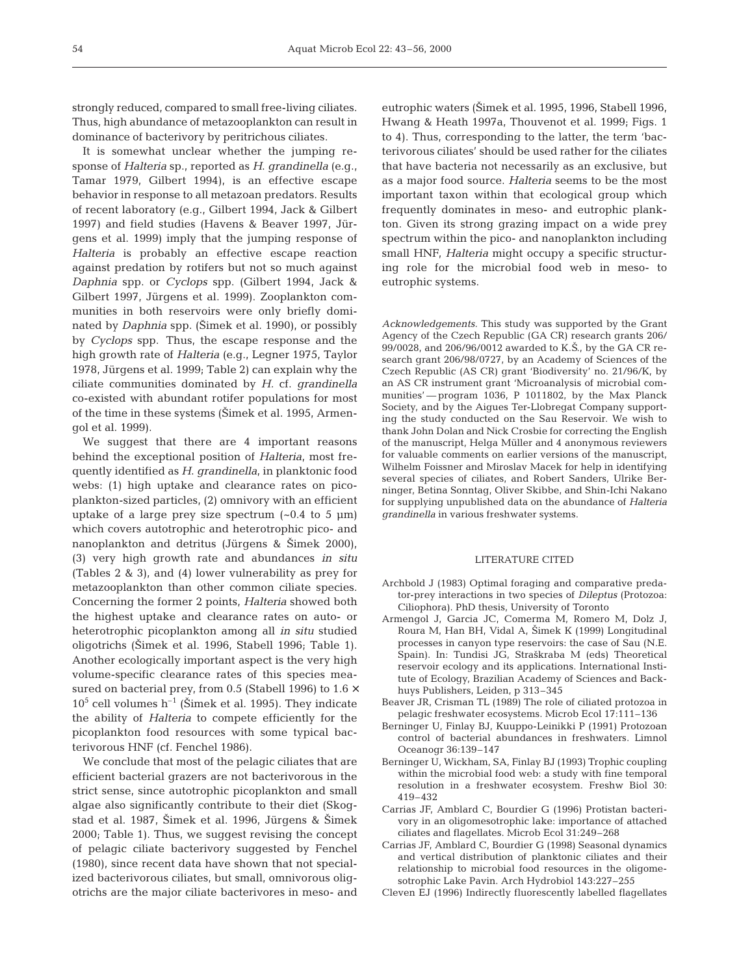strongly reduced, compared to small free-living ciliates. Thus, high abundance of metazooplankton can result in dominance of bacterivory by peritrichous ciliates.

It is somewhat unclear whether the jumping response of *Halteria* sp., reported as *H*. *grandinella* (e.g., Tamar 1979, Gilbert 1994), is an effective escape behavior in response to all metazoan predators. Results of recent laboratory (e.g., Gilbert 1994, Jack & Gilbert 1997) and field studies (Havens & Beaver 1997, Jürgens et al. 1999) imply that the jumping response of *Halteria* is probably an effective escape reaction against predation by rotifers but not so much against *Daphnia* spp. or *Cyclops* spp. (Gilbert 1994, Jack & Gilbert 1997, Jürgens et al. 1999). Zooplankton communities in both reservoirs were only briefly dominated by *Daphnia* spp. (Šimek et al. 1990), or possibly by *Cyclops* spp. Thus, the escape response and the high growth rate of *Halteria* (e.g., Legner 1975, Taylor 1978, Jürgens et al. 1999; Table 2) can explain why the ciliate communities dominated by *H.* cf. *grandinella* co-existed with abundant rotifer populations for most of the time in these systems (Simek et al. 1995, Armengol et al. 1999).

We suggest that there are 4 important reasons behind the exceptional position of *Halteria,* most frequently identified as *H*. *grandinella,* in planktonic food webs: (1) high uptake and clearance rates on picoplankton-sized particles, (2) omnivory with an efficient uptake of a large prey size spectrum  $(-0.4$  to 5  $\mu$ m) which covers autotrophic and heterotrophic pico- and nanoplankton and detritus (Jürgens & Šimek 2000), (3) very high growth rate and abundances *in situ* (Tables 2 & 3), and (4) lower vulnerability as prey for metazooplankton than other common ciliate species. Concerning the former 2 points, *Halteria* showed both the highest uptake and clearance rates on auto- or heterotrophic picoplankton among all *in situ* studied oligotrichs (Šimek et al. 1996, Stabell 1996; Table 1). Another ecologically important aspect is the very high volume-specific clearance rates of this species measured on bacterial prey, from 0.5 (Stabell 1996) to  $1.6 \times$  $10^5$  cell volumes h<sup>-1</sup> (Simek et al. 1995). They indicate the ability of *Halteria* to compete efficiently for the picoplankton food resources with some typical bacterivorous HNF (cf. Fenchel 1986).

We conclude that most of the pelagic ciliates that are efficient bacterial grazers are not bacterivorous in the strict sense, since autotrophic picoplankton and small algae also significantly contribute to their diet (Skogstad et al. 1987, Šimek et al. 1996, Jürgens & Šimek 2000; Table 1). Thus, we suggest revising the concept of pelagic ciliate bacterivory suggested by Fenchel (1980), since recent data have shown that not specialized bacterivorous ciliates, but small, omnivorous oligotrichs are the major ciliate bacterivores in meso- and

eutrophic waters (Šimek et al. 1995, 1996, Stabell 1996, Hwang & Heath 1997a, Thouvenot et al. 1999; Figs. 1 to 4). Thus, corresponding to the latter, the term 'bacterivorous ciliates' should be used rather for the ciliates that have bacteria not necessarily as an exclusive, but as a major food source. *Halteria* seems to be the most important taxon within that ecological group which frequently dominates in meso- and eutrophic plankton. Given its strong grazing impact on a wide prey spectrum within the pico- and nanoplankton including small HNF, *Halteria* might occupy a specific structuring role for the microbial food web in meso- to eutrophic systems.

*Acknowledgements.* This study was supported by the Grant Agency of the Czech Republic (GA CR) research grants 206/ 99/0028, and 206/96/0012 awarded to K.S., by the GA CR research grant 206/98/0727, by an Academy of Sciences of the Czech Republic (AS CR) grant 'Biodiversity' no. 21/96/K, by an AS CR instrument grant 'Microanalysis of microbial communities' — program 1036, P 1011802, by the Max Planck Society, and by the Aigues Ter-Llobregat Company supporting the study conducted on the Sau Reservoir. We wish to thank John Dolan and Nick Crosbie for correcting the English of the manuscript, Helga Müller and 4 anonymous reviewers for valuable comments on earlier versions of the manuscript, Wilhelm Foissner and Miroslav Macek for help in identifying several species of ciliates, and Robert Sanders, Ulrike Berninger, Betina Sonntag, Oliver Skibbe, and Shin-Ichi Nakano for supplying unpublished data on the abundance of *Halteria grandinella* in various freshwater systems.

### LITERATURE CITED

- Archbold J (1983) Optimal foraging and comparative predator-prey interactions in two species of *Dileptus* (Protozoa: Ciliophora). PhD thesis, University of Toronto
- Armengol J, Garcia JC, Comerma M, Romero M, Dolz J, Roura M, Han BH, Vidal A, Šimek K (1999) Longitudinal processes in canyon type reservoirs: the case of Sau (N.E. Spain). In: Tundisi JG, Straškraba M (eds) Theoretical reservoir ecology and its applications. International Institute of Ecology, Brazilian Academy of Sciences and Backhuys Publishers, Leiden, p 313–345
- Beaver JR, Crisman TL (1989) The role of ciliated protozoa in pelagic freshwater ecosystems. Microb Ecol 17:111–136
- Berninger U, Finlay BJ, Kuuppo-Leinikki P (1991) Protozoan control of bacterial abundances in freshwaters. Limnol Oceanogr 36:139–147
- Berninger U, Wickham, SA, Finlay BJ (1993) Trophic coupling within the microbial food web: a study with fine temporal resolution in a freshwater ecosystem. Freshw Biol 30: 419–432
- Carrias JF, Amblard C, Bourdier G (1996) Protistan bacterivory in an oligomesotrophic lake: importance of attached ciliates and flagellates. Microb Ecol 31:249–268
- Carrias JF, Amblard C, Bourdier G (1998) Seasonal dynamics and vertical distribution of planktonic ciliates and their relationship to microbial food resources in the oligomesotrophic Lake Pavin. Arch Hydrobiol 143:227–255
- Cleven EJ (1996) Indirectly fluorescently labelled flagellates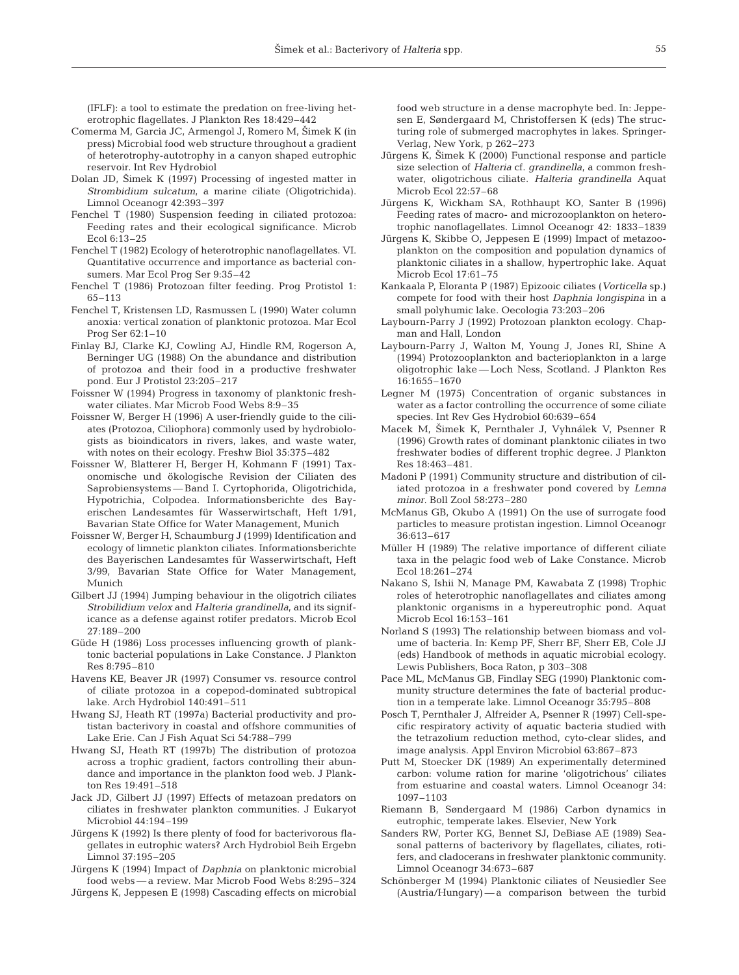(IFLF): a tool to estimate the predation on free-living heterotrophic flagellates. J Plankton Res 18:429–442

- Comerma M, Garcia JC, Armengol J, Romero M, Šimek K (in press) Microbial food web structure throughout a gradient of heterotrophy-autotrophy in a canyon shaped eutrophic reservoir. Int Rev Hydrobiol
- Dolan JD, Šimek K (1997) Processing of ingested matter in *Strombidium sulcatum*, a marine ciliate (Oligotrichida). Limnol Oceanogr 42:393–397
- Fenchel T (1980) Suspension feeding in ciliated protozoa: Feeding rates and their ecological significance. Microb Ecol 6:13–25
- Fenchel T (1982) Ecology of heterotrophic nanoflagellates. VI. Quantitative occurrence and importance as bacterial consumers. Mar Ecol Prog Ser 9:35–42
- Fenchel T (1986) Protozoan filter feeding. Prog Protistol 1: 65–113
- Fenchel T, Kristensen LD, Rasmussen L (1990) Water column anoxia: vertical zonation of planktonic protozoa. Mar Ecol Prog Ser 62:1–10
- Finlay BJ, Clarke KJ, Cowling AJ, Hindle RM, Rogerson A, Berninger UG (1988) On the abundance and distribution of protozoa and their food in a productive freshwater pond. Eur J Protistol 23:205–217
- Foissner W (1994) Progress in taxonomy of planktonic freshwater ciliates. Mar Microb Food Webs 8:9–35
- Foissner W, Berger H (1996) A user-friendly guide to the ciliates (Protozoa, Ciliophora) commonly used by hydrobiologists as bioindicators in rivers, lakes, and waste water, with notes on their ecology. Freshw Biol 35:375–482
- Foissner W, Blatterer H, Berger H, Kohmann F (1991) Taxonomische und ökologische Revision der Ciliaten des Saprobiensystems — Band I. Cyrtophorida, Oligotrichida, Hypotrichia, Colpodea. Informationsberichte des Bayerischen Landesamtes für Wasserwirtschaft, Heft 1/91, Bavarian State Office for Water Management, Munich
- Foissner W, Berger H, Schaumburg J (1999) Identification and ecology of limnetic plankton ciliates. Informationsberichte des Bayerischen Landesamtes für Wasserwirtschaft, Heft 3/99, Bavarian State Office for Water Management, Munich
- Gilbert JJ (1994) Jumping behaviour in the oligotrich ciliates *Strobilidium velox* and *Halteria grandinella*, and its significance as a defense against rotifer predators. Microb Ecol 27:189–200
- Güde H (1986) Loss processes influencing growth of planktonic bacterial populations in Lake Constance. J Plankton Res 8:795–810
- Havens KE, Beaver JR (1997) Consumer vs. resource control of ciliate protozoa in a copepod-dominated subtropical lake. Arch Hydrobiol 140:491–511
- Hwang SJ, Heath RT (1997a) Bacterial productivity and protistan bacterivory in coastal and offshore communities of Lake Erie. Can J Fish Aquat Sci 54:788–799
- Hwang SJ, Heath RT (1997b) The distribution of protozoa across a trophic gradient, factors controlling their abundance and importance in the plankton food web. J Plankton Res 19:491–518
- Jack JD, Gilbert JJ (1997) Effects of metazoan predators on ciliates in freshwater plankton communities. J Eukaryot Microbiol 44:194–199
- Jürgens K (1992) Is there plenty of food for bacterivorous flagellates in eutrophic waters? Arch Hydrobiol Beih Ergebn Limnol 37:195–205
- Jürgens K (1994) Impact of *Daphnia* on planktonic microbial food webs — a review. Mar Microb Food Webs 8:295–324
- Jürgens K, Jeppesen E (1998) Cascading effects on microbial

food web structure in a dense macrophyte bed. In: Jeppesen E, Søndergaard M, Christoffersen K (eds*)* The structuring role of submerged macrophytes in lakes. Springer-Verlag, New York, p 262–273

- Jürgens K, Šimek K (2000) Functional response and particle size selection of *Halteria* cf. *grandinella*, a common freshwater, oligotrichous ciliate. *Halteria grandinella* Aquat Microb Ecol 22:57–68
- Jürgens K, Wickham SA, Rothhaupt KO, Santer B (1996) Feeding rates of macro- and microzooplankton on heterotrophic nanoflagellates. Limnol Oceanogr 42: 1833–1839
- Jürgens K, Skibbe O, Jeppesen E (1999) Impact of metazooplankton on the composition and population dynamics of planktonic ciliates in a shallow, hypertrophic lake. Aquat Microb Ecol 17:61–75
- Kankaala P, Eloranta P (1987) Epizooic ciliates (*Vorticella* sp.) compete for food with their host *Daphnia longispina* in a small polyhumic lake. Oecologia 73:203–206
- Laybourn-Parry J (1992) Protozoan plankton ecology. Chapman and Hall, London
- Laybourn-Parry J, Walton M, Young J, Jones RI, Shine A (1994) Protozooplankton and bacterioplankton in a large oligotrophic lake — Loch Ness, Scotland. J Plankton Res 16:1655–1670
- Legner M (1975) Concentration of organic substances in water as a factor controlling the occurrence of some ciliate species. Int Rev Ges Hydrobiol 60:639–654
- Macek M, Šimek K, Pernthaler J, Vyhnálek V, Psenner R (1996) Growth rates of dominant planktonic ciliates in two freshwater bodies of different trophic degree. J Plankton Res 18:463–481.
- Madoni P (1991) Community structure and distribution of ciliated protozoa in a freshwater pond covered by *Lemna minor*. Boll Zool 58:273–280
- McManus GB, Okubo A (1991) On the use of surrogate food particles to measure protistan ingestion. Limnol Oceanogr 36:613–617
- Müller H (1989) The relative importance of different ciliate taxa in the pelagic food web of Lake Constance. Microb Ecol 18:261–274
- Nakano S, Ishii N, Manage PM, Kawabata Z (1998) Trophic roles of heterotrophic nanoflagellates and ciliates among planktonic organisms in a hypereutrophic pond. Aquat Microb Ecol 16:153–161
- Norland S (1993) The relationship between biomass and volume of bacteria. In: Kemp PF, Sherr BF, Sherr EB, Cole JJ (eds) Handbook of methods in aquatic microbial ecology. Lewis Publishers, Boca Raton, p 303–308
- Pace ML, McManus GB, Findlay SEG (1990) Planktonic community structure determines the fate of bacterial production in a temperate lake. Limnol Oceanogr 35:795–808
- Posch T, Pernthaler J, Alfreider A, Psenner R (1997) Cell-specific respiratory activity of aquatic bacteria studied with the tetrazolium reduction method, cyto-clear slides, and image analysis. Appl Environ Microbiol 63:867–873
- Putt M, Stoecker DK (1989) An experimentally determined carbon: volume ration for marine 'oligotrichous' ciliates from estuarine and coastal waters. Limnol Oceanogr 34: 1097–1103
- Riemann B, Søndergaard M (1986) Carbon dynamics in eutrophic, temperate lakes. Elsevier, New York
- Sanders RW, Porter KG, Bennet SJ, DeBiase AE (1989) Seasonal patterns of bacterivory by flagellates, ciliates, rotifers, and cladocerans in freshwater planktonic community. Limnol Oceanogr 34:673–687
- Schönberger M (1994) Planktonic ciliates of Neusiedler See (Austria/Hungary) — a comparison between the turbid